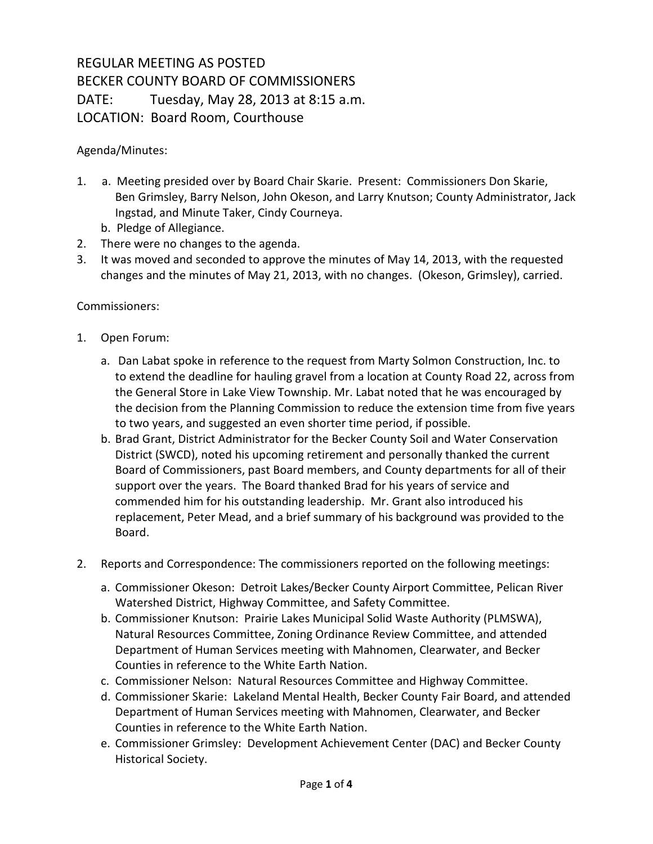## REGULAR MEETING AS POSTED BECKER COUNTY BOARD OF COMMISSIONERS DATE: Tuesday, May 28, 2013 at 8:15 a.m. LOCATION: Board Room, Courthouse

Agenda/Minutes:

- 1. a. Meeting presided over by Board Chair Skarie. Present: Commissioners Don Skarie, Ben Grimsley, Barry Nelson, John Okeson, and Larry Knutson; County Administrator, Jack Ingstad, and Minute Taker, Cindy Courneya.
	- b. Pledge of Allegiance.
- 2. There were no changes to the agenda.
- 3. It was moved and seconded to approve the minutes of May 14, 2013, with the requested changes and the minutes of May 21, 2013, with no changes. (Okeson, Grimsley), carried.

## Commissioners:

- 1. Open Forum:
	- a. Dan Labat spoke in reference to the request from Marty Solmon Construction, Inc. to to extend the deadline for hauling gravel from a location at County Road 22, across from the General Store in Lake View Township. Mr. Labat noted that he was encouraged by the decision from the Planning Commission to reduce the extension time from five years to two years, and suggested an even shorter time period, if possible.
	- b. Brad Grant, District Administrator for the Becker County Soil and Water Conservation District (SWCD), noted his upcoming retirement and personally thanked the current Board of Commissioners, past Board members, and County departments for all of their support over the years. The Board thanked Brad for his years of service and commended him for his outstanding leadership. Mr. Grant also introduced his replacement, Peter Mead, and a brief summary of his background was provided to the Board.
- 2. Reports and Correspondence: The commissioners reported on the following meetings:
	- a. Commissioner Okeson: Detroit Lakes/Becker County Airport Committee, Pelican River Watershed District, Highway Committee, and Safety Committee.
	- b. Commissioner Knutson: Prairie Lakes Municipal Solid Waste Authority (PLMSWA), Natural Resources Committee, Zoning Ordinance Review Committee, and attended Department of Human Services meeting with Mahnomen, Clearwater, and Becker Counties in reference to the White Earth Nation.
	- c. Commissioner Nelson: Natural Resources Committee and Highway Committee.
	- d. Commissioner Skarie: Lakeland Mental Health, Becker County Fair Board, and attended Department of Human Services meeting with Mahnomen, Clearwater, and Becker Counties in reference to the White Earth Nation.
	- e. Commissioner Grimsley: Development Achievement Center (DAC) and Becker County Historical Society.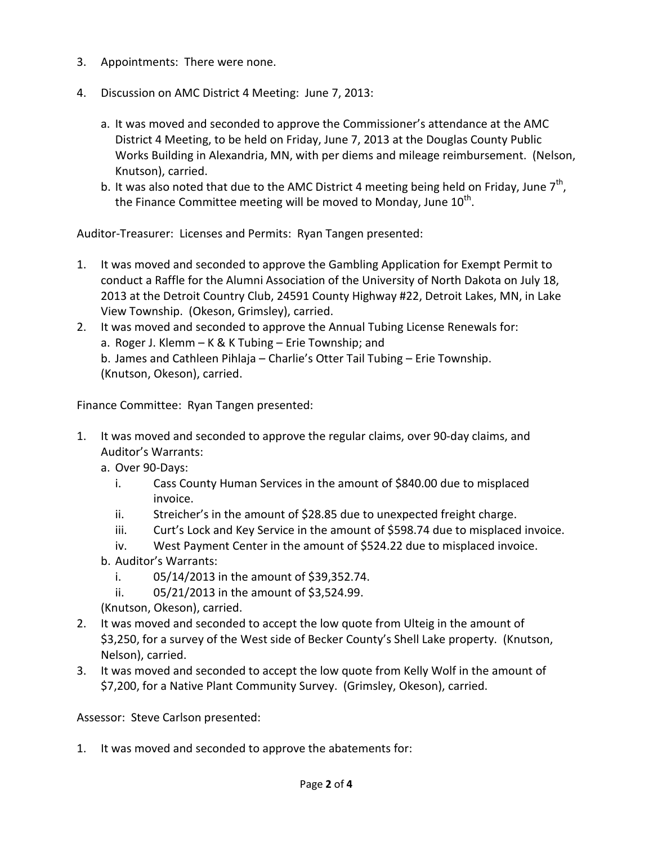- 3. Appointments: There were none.
- 4. Discussion on AMC District 4 Meeting: June 7, 2013:
	- a. It was moved and seconded to approve the Commissioner's attendance at the AMC District 4 Meeting, to be held on Friday, June 7, 2013 at the Douglas County Public Works Building in Alexandria, MN, with per diems and mileage reimbursement. (Nelson, Knutson), carried.
	- b. It was also noted that due to the AMC District 4 meeting being held on Friday, June  $7<sup>th</sup>$ , the Finance Committee meeting will be moved to Monday, June  $10^{\text{th}}$ .

Auditor-Treasurer: Licenses and Permits: Ryan Tangen presented:

- 1. It was moved and seconded to approve the Gambling Application for Exempt Permit to conduct a Raffle for the Alumni Association of the University of North Dakota on July 18, 2013 at the Detroit Country Club, 24591 County Highway #22, Detroit Lakes, MN, in Lake View Township. (Okeson, Grimsley), carried.
- 2. It was moved and seconded to approve the Annual Tubing License Renewals for: a. Roger J. Klemm – K & K Tubing – Erie Township; and b. James and Cathleen Pihlaja – Charlie's Otter Tail Tubing – Erie Township. (Knutson, Okeson), carried.

Finance Committee: Ryan Tangen presented:

- 1. It was moved and seconded to approve the regular claims, over 90-day claims, and Auditor's Warrants:
	- a. Over 90-Days:
		- i. Cass County Human Services in the amount of \$840.00 due to misplaced invoice.
		- ii. Streicher's in the amount of \$28.85 due to unexpected freight charge.
		- iii. Curt's Lock and Key Service in the amount of \$598.74 due to misplaced invoice.
		- iv. West Payment Center in the amount of \$524.22 due to misplaced invoice.
	- b. Auditor's Warrants:
		- i. 05/14/2013 in the amount of \$39,352.74.
		- ii. 05/21/2013 in the amount of \$3,524.99.

(Knutson, Okeson), carried.

- 2. It was moved and seconded to accept the low quote from Ulteig in the amount of \$3,250, for a survey of the West side of Becker County's Shell Lake property. (Knutson, Nelson), carried.
- 3. It was moved and seconded to accept the low quote from Kelly Wolf in the amount of \$7,200, for a Native Plant Community Survey. (Grimsley, Okeson), carried.

Assessor: Steve Carlson presented:

1. It was moved and seconded to approve the abatements for: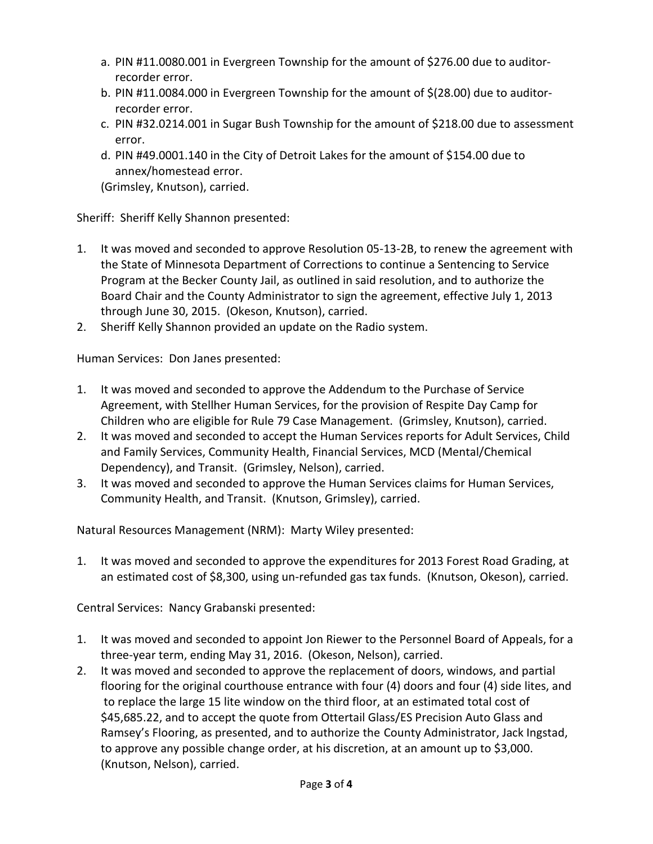- a. PIN #11.0080.001 in Evergreen Township for the amount of \$276.00 due to auditorrecorder error.
- b. PIN #11.0084.000 in Evergreen Township for the amount of \$(28.00) due to auditorrecorder error.
- c. PIN #32.0214.001 in Sugar Bush Township for the amount of \$218.00 due to assessment error.
- d. PIN #49.0001.140 in the City of Detroit Lakes for the amount of \$154.00 due to annex/homestead error.

(Grimsley, Knutson), carried.

Sheriff: Sheriff Kelly Shannon presented:

- 1. It was moved and seconded to approve Resolution 05-13-2B, to renew the agreement with the State of Minnesota Department of Corrections to continue a Sentencing to Service Program at the Becker County Jail, as outlined in said resolution, and to authorize the Board Chair and the County Administrator to sign the agreement, effective July 1, 2013 through June 30, 2015. (Okeson, Knutson), carried.
- 2. Sheriff Kelly Shannon provided an update on the Radio system.

Human Services: Don Janes presented:

- 1. It was moved and seconded to approve the Addendum to the Purchase of Service Agreement, with Stellher Human Services, for the provision of Respite Day Camp for Children who are eligible for Rule 79 Case Management. (Grimsley, Knutson), carried.
- 2. It was moved and seconded to accept the Human Services reports for Adult Services, Child and Family Services, Community Health, Financial Services, MCD (Mental/Chemical Dependency), and Transit. (Grimsley, Nelson), carried.
- 3. It was moved and seconded to approve the Human Services claims for Human Services, Community Health, and Transit. (Knutson, Grimsley), carried.

Natural Resources Management (NRM): Marty Wiley presented:

1. It was moved and seconded to approve the expenditures for 2013 Forest Road Grading, at an estimated cost of \$8,300, using un-refunded gas tax funds. (Knutson, Okeson), carried.

Central Services: Nancy Grabanski presented:

- 1. It was moved and seconded to appoint Jon Riewer to the Personnel Board of Appeals, for a three-year term, ending May 31, 2016. (Okeson, Nelson), carried.
- 2. It was moved and seconded to approve the replacement of doors, windows, and partial flooring for the original courthouse entrance with four (4) doors and four (4) side lites, and to replace the large 15 lite window on the third floor, at an estimated total cost of \$45,685.22, and to accept the quote from Ottertail Glass/ES Precision Auto Glass and Ramsey's Flooring, as presented, and to authorize the County Administrator, Jack Ingstad, to approve any possible change order, at his discretion, at an amount up to \$3,000. (Knutson, Nelson), carried.